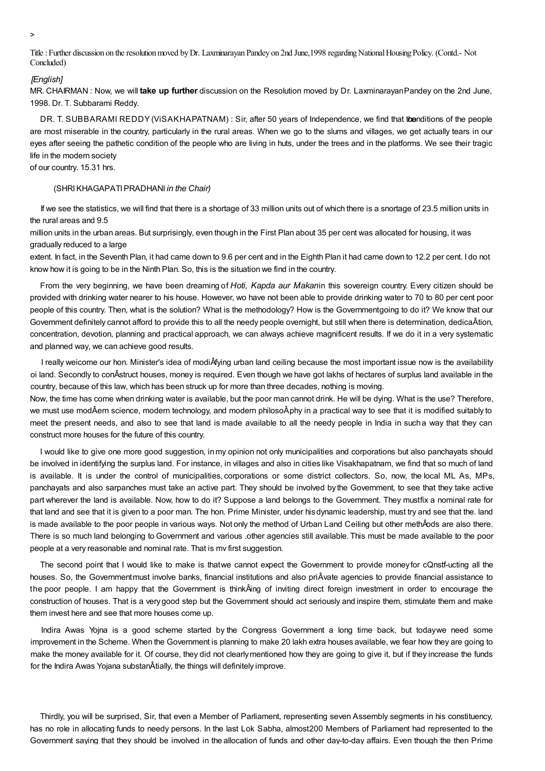>

Title:Further discussion on theresolutionmoved byDr. Laxminarayan Pandey on 2nd June,1998 regardingNationalHousing Policy. (Contd.- Not Concluded)

#### *[English]*

MR. CHAIRMAN : Now, we will **take up further** discussion on the Resolution moved by Dr. LaxminarayanPandey on the 2nd June, 1998. Dr. T. Subbarami Reddy.

DR. T. SUBBARAMI REDDY (VISAKHAPATNAM) : Sir, after 50 years of Independence, we find that tbenditions of the people are most miserable in the country, particularly in the rural areas. When we go to the slums and villages, we get actually tears in our eyes after seeing the pathetic condition of the people who are living in huts, under the trees and in the platforms. We see their tragic life in the modern society

# of our country. 15.31 hrs.

## (SHRIKHAGAPATIPRADHANI *in the Chair)*

If we see the statistics, we will find that there is a shortage of 33 million units out of which there is a snortage of 23.5 million units in the rural areas and 9.5

million units in the urban areas. But surprisingly, even though in the First Plan about 35 per cent was allocated for housing, it was gradually reduced to a large

extent. In fact, in the Seventh Plan, it had came down to 9.6 per cent and in the Eighth Plan it had came down to 12.2 per cent. I do not know how it is going to be in the Ninth Plan. So, this is the situation we find in the country.

From the very beginning, we have been dreaming of *Hoti, Kapda aur Makan*in this sovereign country. Every citizen should be provided with drinking water nearer to his house. However, wo have not been able to provide drinking water to 70 to 80 per cent poor people of this country. Then, what is the solution? What is the methodology? How is the Governmentgoing to do it? We know that our Government definitely cannot afford to provide this to all the needy people overnight, but still when there is determination, dedicaÂtion, concentration, devotion, planning and practical approach, we can always achieve magnificent results. If we do it in a very systematic and planned way, we can achieve good results.

I really weicome our hon. Minister's idea of modiÂfying urban land ceiling because the most important issue now is the availability oi land. Secondly to conÂstruct houses, money is required. Even though we have got lakhs of hectares of surplus land available in the country, because of this law, which has been struck up for more than three decades, nothing is moving.

Now, the time has come when drinking water is available, but the poor man cannot drink. He will be dying. What is the use? Therefore, we must use modÂern science, modern technology, and modern philosoÂphy in a practical way to see that it is modified suitably to meet the present needs, and also to see that land is made available to all the needy people in India in sucha way that they can construct more houses for the future of this country.

I would like to give one more good suggestion, inmy opinion not only municipalities and corporations but also panchayats should be involved in identifying the surplus land. For instance, in villages and also in cities like Visakhapatnam, we find that so much of land is available. It is under the control of municipalities, corporations or some district collectors. So, now, the local ML As, MPs, panchayats and also sarpanches must take an active part. They should be involved by the Government, to see that they take active part wherever the land is available. Now, how to do it? Suppose a land belongs to the Government. They mustfix a nominal rate for that land and see that it is given to a poor man. The hon. Prime Minister, under hisdynamic leadership, must try and see that the. land is made available to the poor people in various ways. Not only the method of Urban Land Ceiling but other methÂods are also there. There is so much land belonging to Government and various .other agencies still available. This must be made available to the poor people at a very reasonable and nominal rate. That is mv first suggestion.

The second point that I would like to make is thatwe cannot expect the Government to provide money for cQnstf-ucting all the houses. So, the Governmentmust involve banks, financial institutions and also priÂvate agencies to provide financial assistance to the poor people. I am happy that the Government is thinkÂing of inviting direct foreign investment in order to encourage the construction of houses. That is a verygood step but the Government should act seriously and inspire them, stimulate them and make them invest here and see that more houses come up.

Indira Awas Yojna is a good scheme started by the Congress Government a long time back, but todaywe need some improvement in the Scheme. When the Government is planning to make 20 lakh extra houses available, we fear how they are going to make the money available for it. Of course, they did not clearlymentioned how they are going to give it, but if they increase the funds for the Indira Awas Yojana substanÂtially, the things will definitely improve.

Thirdly, you will be surprised, Sir, that even a Member of Parliament, representing seven Assembly segments in his constituency, has no role in allocating funds to needy persons. In the last Lok Sabha, almost200 Members of Parliament had represented to the Government saying that they should be involved in the allocation of funds and other day-to-day affairs. Even though the then Prime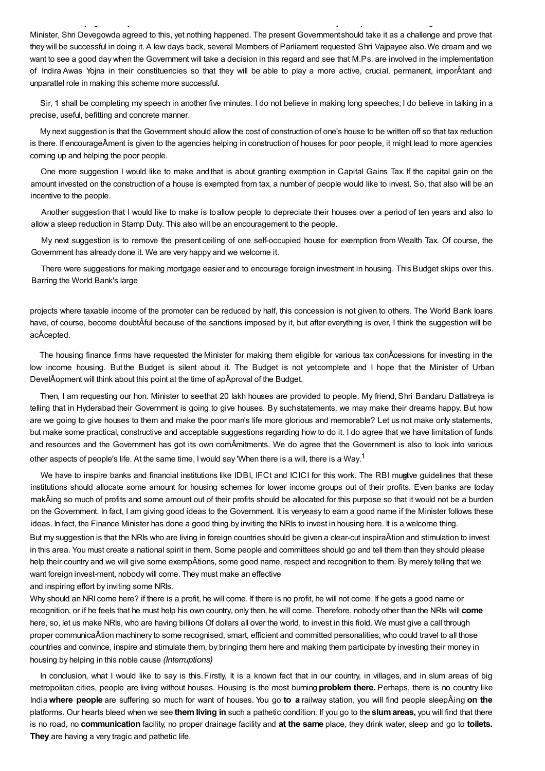Minister, Shri Devegowda agreed to this, yet nothing happened. The present Governmentshould take it as a challenge and prove that they will be successful in doing it. A lew days back, several Members of Parliament requested Shri Vajpayee also.We dream and we want to see a good day when the Government will take a decision in this regard and see that M.Ps. are involved in the implementation of Indira Awas Yojna in their constituencies so that they will be able to play a more active, crucial, permanent, imporÂtant and unparattel role in making this scheme more successful.

Government saying that they should be involved in the allocation of funds and other day-to-day affairs. Even though the then Prime

Sir, 1 shall be completing my speech in another five minutes. I do not believe in making long speeches; I do believe in talking in a precise, useful, befitting and concrete manner.

My next suggestion is that the Government should allow the cost of construction of one's house to be written off so that tax reduction is there. If encourageÂment is given to the agencies helping in construction of houses for poor people, it might lead to more agencies coming up and helping the poor people.

One more suggestion I would like to make andthat is about granting exemption in Capital Gains Tax. If the capital gain on the amount invested on the construction of a house is exempted from tax, a number of people would like to invest. So, that also will be an incentive to the people.

Another suggestion that I would like to make is toallow people to depreciate their houses over a period of ten years and also to allow a steep reduction in Stamp Duty. This also will be an encouragement to the people.

My next suggestion is to remove the present ceiling of one self-occupied house for exemption from Wealth Tax. Of course, the Government has already done it. We are very happy and we welcome it.

There were suggestions for making mortgage easier and to encourage foreign investment in housing. This Budget skips over this. Barring the World Bank's large

projects where taxable income of the promoter can be reduced by half, this concession is not given to others. The World Bank loans have, of course, become doubtÂful because of the sanctions imposed by it, but after everything is over, I think the suggestion will be acÂcepted.

The housing finance firms have requested the Minister for making them eligible for various tax conÂcessions for investing in the low income housing. But the Budget is silent about it. The Budget is not yetcomplete and I hope that the Minister of Urban DevelÂopment will think about this point at the time of apÂproval of the Budget.

Then, I am requesting our hon. Minister to seethat 20 lakh houses are provided to people. My friend, Shri Bandaru Dattatreya is telling that in Hyderabad their Government is going to give houses. By suchstatements, we may make their dreams happy. But how are we going to give houses to them and make the poor man's life more glorious and memorable? Let us not make only statements, but make some practical, constructive and acceptable suggestions regarding how to do it. I do agree that we have limitation of funds and resources and the Government has got its own comÂmitments. We do agree that the Government is also to look into various other aspects of people's life. At the same time, I would say 'When there is a will, there is a Way.<sup>1</sup>

We have to inspire banks and financial institutions like IDBI, IFCt and ICICI for this work. The RBI mugtive guidelines that these institutions should allocate some amount for housing schemes for lower income groups out of their profits. Even banks are today makÂing so much of profits and some amount out of their profits should be allocated for this purpose so that it would not be a burden on the Government. In fact, I am giving good ideas to the Government. It is veryeasy to earn a good name if the Minister follows these ideas. In fact, the Finance Minister has done a good thing by inviting the NRIs to invest in housing here. It is a welcome thing.

But my suggestion is that the NRIs who are living in foreign countries should be given a clear-cut inspiraÂtion and stimulation to invest in this area. You must create a national spirit in them. Some people and committees should go and tell them than they should please help their country and we will give some exempÂtions, some good name, respect and recognition to them. By merely telling that we want foreign invest-ment, nobody will come. They must make an effective

and inspiring effort by inviting some NRls.

Why should an NRI come here? if there is a profit, he will come. If there is no profit, he will not come. If he gets a good name or recognition, or if he feels that he must help his own country, only then, he will come. Therefore, nobody other than the NRls will **come** here, so, let us make NRls, who are having billions Of dollars all over the world, to invest in this fiold. We must give a call through proper communicaÂtion machinery to some recognised, smart, efficient and committed personalities, who could travel to all those countries and convince, inspire and stimulate them, by bringing them here and making them participate by investing their money in housing by helping in this noble cause *(Interruptions)*

In conclusion, what I would like to say is this.Firstly, It is a known fact that in our country, in villages, and in slum areas of big metropolitan cities, people are living without houses. Housing is the most burning **problem there.** Perhaps, there is no country like India**where people** are suffering so much for want of houses. You go **to a** railway station, you will find people sleepÂing **on the** platforms. Our hearts bleed when we see **them living in** such a pathetic condition. If you go to the **slumareas,** you will find that there is no road, no **communication** facility, no proper drainage facility and **at the same** place, they drink water, sleep and go to **toilets. They** are having a very tragic and pathetic life.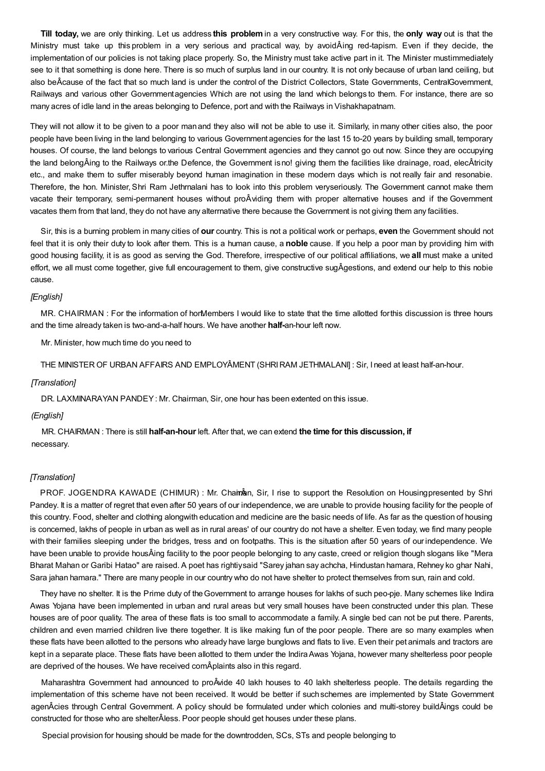**Till today,** we are only thinking. Let us address **this problem**in a very constructive way. For this, the **only way** out is that the Ministry must take up this problem in a very serious and practical way, by avoidÂing red-tapism. Even if they decide, the implementation of our policies is not taking place properly. So, the Ministry must take active part in it. The Minister mustimmediately see to it that something is done here. There is so much of surplus land in our country. It is not only because of urban land ceiling, but also beÂcause of the fact that so much land is under the control of the District Collectors, State Governments, CentralGovernment, Railways and various other Governmentagencies Which are not using the land which belongs to them. For instance, there are so many acres of idle land in the areas belonging to Defence, port and with the Railways in Vishakhapatnam.

They will not allow it to be given to a poor manand they also will not be able to use it. Similarly, in many other cities also, the poor people have been living in the land belonging to various Government agencies for the last 15 to-20 years by building small, temporary houses. Of course, the land belongs to various Central Government agencies and they cannot go out now. Since they are occupying the land belongÂing to the Railways or.the Defence, the Government isno! giving them the facilities like drainage, road, elecÂtricity etc., and make them to suffer miserably beyond human imagination in these modern days which is not really fair and resonabie. Therefore, the hon. Minister, Shri Ram Jethrnalani has to look into this problem veryseriously. The Government cannot make them vacate their temporary, semi-permanent houses without proÂviding them with proper alternative houses and if the Government vacates them from that land, they do not have any alterrnative there because the Government is not giving them any facilities.

Sir, this is a burning problem in many cities of **our** country. This is not a political work or perhaps, **even** the Government should not feel that it is only their duty to look after them. This is a human cause, a **noble** cause. If you help a poor man by providing him with good housing facility, it is as good as serving the God. Therefore, irrespective of our political affiliations, we **all** must make a united effort, we all must come together, give full encouragement to them, give constructive sugÂgestions, and extend our help to this nobie cause.

## *[English]*

MR. CHAIRMAN : For the information of horMembers I would like to state that the time allotted for this discussion is three hours and the time already taken is two-and-a-half hours. We have another **half-**an-hour left now.

Mr. Minister, how much time do you need to

THE MINISTER OF URBAN AFFAIRS AND EMPLOYÂMENT (SHRIRAM JETHMALANI] : Sir, I need at least half-an-hour.

#### *[Translation]*

DR. LAXMINARAYAN PANDEY: Mr. Chairman, Sir, one hour has been extented on this issue.

### *(English]*

MR. CHAIRMAN : There is still **half-an-hour** left. After that, we can extend **the time for this discussion, if** necessary.

## *[Translation]*

PROF. JOGENDRA KAWADE (CHIMUR) : Mr. Chainnan, Sir, I rise to support the Resolution on Housingpresented by Shri Pandey. It is a matter of regret that even after 50 years of our independence, we are unable to provide housing facility for the people of this country. Food, shelter and clothing alongwith education and medicine are the basic needs of life. As far as the question of housing is concerned, lakhs of people in urban as well as in rural areas' of our country do not have a shelter. Even today, we find many people with their families sleeping under the bridges, tress and on footpaths. This is the situation after 50 years of our independence. We have been unable to provide housÂing facility to the poor people belonging to any caste, creed or religion though slogans like "Mera Bharat Mahan or Garibi Hatao" are raised. A poet has rightiysaid "Sarey jahan say achcha, Hindustan hamara, Rehney ko ghar Nahi, Sara jahan hamara." There are many people in our country who do not have shelter to protect themselves from sun, rain and cold.

They have no shelter. It is the Prime duty of theGovernment to arrange houses for lakhs of such peo-pje. Many schemes like Indira Awas Yojana have been implemented in urban and rural areas but very small houses have been constructed under this plan. These houses are of poor quality. The area of these flats is too small to accommodate a family. A single bed can not be put there. Parents, children and even married children live there together. It is like making fun of the poor people. There are so many examples when these flats have been allotted to the persons who already have large bunglows and flats to live. Even their pet animals and tractors are kept in a separate place. These flats have been allotted to them under the IndiraAwas Yojana, however many shelterless poor people are deprived of the houses. We have received comÂplaints also in this regard.

Maharashtra Government had announced to proÂvide 40 lakh houses to 40 lakh shelterless people. The details regarding the implementation of this scheme have not been received. It would be better if suchschemes are implemented by State Government agenÂcies through Central Government. A policy should be formulated under which colonies and multi-storey buildÂings could be constructed for those who are shelterÂless. Poor people should get houses under these plans.

Special provision for housing should be made for the downtrodden, SCs, STs and people belonging to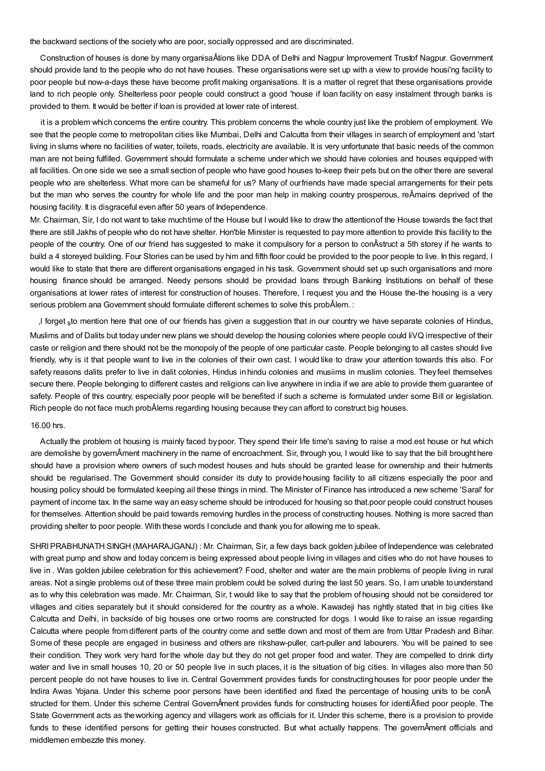the backward sections of the society who are poor, socially oppressed and are discriminated.

Construction of houses is done by many organisaÂtions like DDA of Delhi and Nagpur Improvement Trustof Nagpur. Government should provide land to the people who do not have houses. These organisations were set up with a view to provide housi'ng facility to poor people but now-a-days these have become profit making organisations. It is a matter ol regret that these organisations provide land to rich people only. Shelterless poor people could construct a good 'house if loan facility on easy instalment through banks is provided to them. It would be better if loan is provided at lower rate of interest.

it is a problem which concerns the entire country. This problem concerns the whole country just like the problem of employment. We see that the people come to metropolitan cities like Mumbai, Delhi and Calcutta from their villages in search of employment and 'start living in slums where no facilities of water, toilets, roads, electricity are available. It is very unfortunate that basic needs of the common man are not being fulfilled. Government should formulate a scheme underwhich we should have colonies and houses equipped with all facilities. On one side we see a small section of people who have good houses to-keep their pets but on the other there are several people who are shelterless. What more can be shameful for us? Many of ourfriends have made special arrangements for their pets but the man who serves the country for whole life and the poor man help in making country prosperous, reÂmains deprived of the housing facility. It is disgraceful even after 50 years of Independence.

Mr. Chairman, Sir, I do not want to take muchtime of the House but I would like to draw the attentionof the House towards the fact that there are still Jakhs of people who do not have shelter. Hon'ble Minister is requested to pay more attention to provide this facility to the people of the country. One of our friend has suggested to make it compulsory for a person to conÂstruct a 5th storey if he wants to build a 4 storeyed building. Four Stories can be used by him and fifth floor could be provided to the poor people to live. In this regard, I would like to state that there are different organisations engaged in his task. Government should set up such organisations and more housing finance should be arranged. Needy persons should be providad loans through Banking Institutions on behalf of these organisations at lower rates of interest for construction of houses. Therefore, I request you and the House the-the housing is a very serious problem ana Government should formulate different schemes to solve this probÂlem. :

,l forget <sub>s</sub>to mention here that one of our friends has given a suggestion that in our country we have separate colonies of Hindus, Muslims and of Dalits but today under new plans we should develop the housing colonies where people could liVQ irrespective of their caste or religion and there should not be the monopoly of the people of one particular caste. People belonging to all castes should live friendly, why is it that people want to live in the colonies of their own cast. I would like to draw your attention towards this also. For safety reasons dalits prefer to live in dalit colonies, Hindus inhindu colonies and musiims in muslim colonies. They feel themselves secure there. People belonging to different castes and religions can live anywhere in india if we are able to provide them guarantee of safety. People of this country, especially poor people will be benefited if such a scheme is formulated under some Bill or legislation. Rich people do not face much probÂlems regarding housing because they can afford to construct big houses.

#### 16.00 hrs.

Actually the problem ot housing is mainly faced bypoor. They spend their life time's saving to raise a mod.est house or hut which are demolishe by governÂment machinery in the name of encroachment. Sir, through you, I would like to say that the bill brought here should have a provision where owners of such modest houses and huts should be granted lease for ownership and their hutments should be regularised. The Government should consider its duty to providehousing facility to all citizens especially the poor and housing policy should be formulated keeping ail these things in mind. The Minister of Finance has introduced a new scheme 'Saral' for payment of income tax. In the same way an easy scheme should be introduced for housing so that.poor people could construct houses for themselves. Attention should be paid towards removing hurdles in the process of constructing houses. Nothing is more sacred than providing shelter to poor people. With these words I conclude and thank you for allowing me to speak.

SHRIPRABHUNATH SINGH (MAHARAJGANJ) : Mr. Chairman, Sir, a few days back golden jubilee of Independence was celebrated with great pump and show and today concern is being expressed about people living in villages and cities who do not have houses to live in . Was golden jubilee celebration for this achievement? Food, shelter and water are the main problems of people living in rural areas. Not a single problems out of these three main problem could be solved during the last 50 years. So, I am unable tounderstand as to why this celebration was made. Mr. Chairman, Sir, t would like to say that the problem of housing should not be considered tor villages and cities separately but it should considered for the country as a whole. Kawadeji has rightly stated that in big cities like Calcutta and Delhi, in backside of big houses one ortwo rooms are constructed for dogs. I would like to raise an issue regarding Calcutta where people from different parts of the country come and settle down and most of them are from Uttar Pradesh and Bihar. Some of these people are engaged in business and others are rikshaw-puller, cart-puller and labourers. You will be pained to see their condition. They work very hard for the whole day but they do not get proper food and water. They are compelled to drink dirty water and live in small houses 10, 20 or 50 people live in such places, it is the situation of big cities. In villages also more than 50 percent people do not have houses to live in. Central Government provides funds for constructinghouses for poor people under the Indira Awas Yojana. Under this scheme poor persons have been identified and fixed the percentage of housing units to be conÂ structed for them. Under this scheme Central GovernÂment provides funds for constructing houses for identiÂfied poor people. The State Government acts as theworking agency and villagers work as officials for it. Under this scheme, there is a provision to provide funds to these identified persons for getting their houses constructed. But what actually happens. The governÂment officials and middlemen embezzle this money.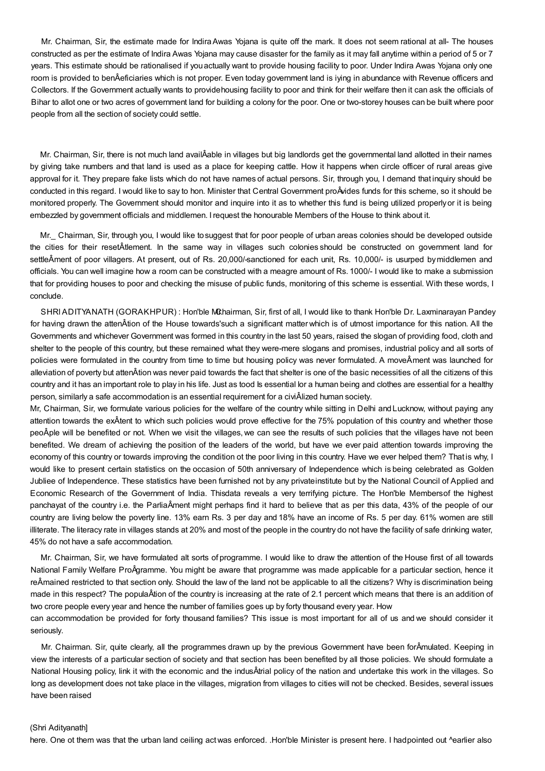Mr. Chairman, Sir, the estimate made for IndiraAwas Yojana is quite off the mark. It does not seem rational at all- The houses constructed as per the estimate of Indira Awas Yojana may cause disaster for the family as it may fall anytime within a period of 5 or 7 years. This estimate should be rationalised if youactually want to provide housing facility to poor. Under Indira Awas Yojana only one room is provided to benÂeficiaries which is not proper. Even today government land is iying in abundance with Revenue officers and Collectors. If the Government actually wants to providehousing facility to poor and think for their welfare then it can ask the officials of Bihar to allot one or two acres of government land for building a colony for the poor. One or two-storey houses can be built where poor people from all the section of society could settle.

Mr. Chairman, Sir, there is not much land availÂable in villages but big landlords get the governmental land allotted in their names by giving take numbers and that land is used as a place for keeping cattle. How it happens when circle officer of rural areas give approval for it. They prepare fake lists which do not have names of actual persons. Sir, through you, I demand that inquiry should be conducted in this regard. I would like to say to hon. Minister that Central Government proÂvides funds for this scheme, so it should be monitored properly. The Government should monitor and inquire into it as to whether this fund is being utilized properlyor it is being embezzled by government officials and middlemen. Irequest the honourable Members of the House to think about it.

Mr.\_ Chairman, Sir, through you, I would like tosuggest that for poor people of urban areas colonies should be developed outside the cities for their resetÂtlement. In the same way in villages such colonies should be constructed on government land for settleÂment of poor villagers. At present, out of Rs. 20,000/-sanctioned for each unit, Rs. 10,000/- is usurped by middlemen and officials. You can well imagine how a room can be constructed with a meagre amount of Rs. 1000/- I would like to make a submission that for providing houses to poor and checking the misuse of public funds, monitoring of this scheme is essential. With these words, I conclude.

SHRI ADITYANATH (GORAKHPUR) : Hon'ble Mchairman, Sir, first of all, I would like to thank Hon'ble Dr. Laxminarayan Pandey for having drawn the attenÂtion of the House towards'such a significant matterwhich is of utmost importance for this nation. All the Governments and whichever Government was formed in this country in the last 50 years, raised the slogan of providing food, cloth and shelter to the people of this country, but these remained what they were-mere slogans and promises, industrial policy and all sorts of policies were formulated in the country from time to time but housing policy was never formulated. A moveÂment was launched for alleviation of poverty but attenÂtion was never paid towards the fact that shelter is one of the basic necessities of all the citizens of this country and it has an important role to play in his life. Just as tood Is essential lor a human being and clothes are essential for a healthy person, similarly a safe accommodation is an essential requirement for a civiÂlized human society.

Mr, Chairman, Sir, we formulate various policies for the welfare of the country while sitting in Delhi and Lucknow, without paying any attention towards the exÂtent to which such policies would prove effective for the 75% population of this country and whether those peoÂple will be benefited or not. When we visit the villages, we can see the results of such policies that the villages have not been benefited. We dream of achieving the position of the leaders of the world, but have we ever paid attention towards improving the economy of this country or towards improving the condition ot the poor living in this country. Have we ever helped them? That is why, I would like to present certain statistics on the occasion of 50th anniversary of Independence which is being celebrated as Golden Jubliee of Independence. These statistics have been furnished not by any privateinstitute but by the National Council of Applied and Economic Research of the Government of India. Thisdata reveals a very terrifying picture. The Hon'ble Membersof the highest panchayat of the country i.e. the ParliaÂment might perhaps find it hard to believe that as per this data, 43% of the people of our country are living below the poverty line. 13% earn Rs. 3 per day and 18% have an income of Rs. 5 per day. 61% women are still illiterate. The literacy rate in villages stands at 20% and most of the people in the country do not have the facility of safe drinking water, 45% do not have a safe accommodation.

Mr. Chairman, Sir, we have formulated alt sorts of programme. I would like to draw the attention of the House first of all towards National Family Welfare ProÂgramme. You might be aware that programme was made applicable for a particular section, hence it reÂmained restricted to that section only. Should the law of the land not be applicable to all the citizens? Why is discrimination being made in this respect? The populaÂtion of the country is increasing at the rate of 2.1 percent which means that there is an addition of two crore people every year and hence the number of families goes up by forty thousand every year. How

can accommodation be provided for forty thousand families? This issue is most important for all of us and we should consider it seriously.

Mr. Chairman. Sir, quite clearly, all the programmes drawn up by the previous Government have been forÂmulated. Keeping in view the interests of a particular section of society and that section has been benefited by all those policies. We should formulate a National Housing policy, link it with the economic and the indusÂtrial policy of the nation and undertake this work in the villages. So long as development does not take place in the villages, migration from villages to cities will not be checked. Besides, several issues have been raised

#### (Shri Adityanath]

here. One ot them was that the urban land ceiling actwas enforced. .Hon'ble Minister is present here. I hadpointed out ^earlier also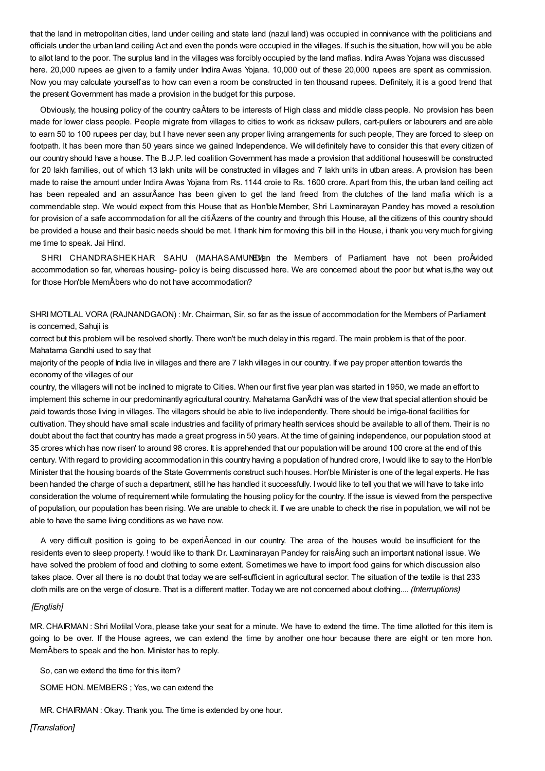that the land in metropolitan cities, land under ceiling and state land (nazul land) was occupied in connivance with the politicians and officials under the urban land ceiling Act and even the ponds were occupied in the villages. If such is the situation, how will you be able to allot land to the poor. The surplus land in the villages was forcibly occupied by the land mafias. Indira Awas Yojana was discussed here. 20,000 rupees ae given to a family under Indira Awas Yojana. 10,000 out of these 20,000 rupees are spent as commission. Now you may calculate yourself as to how can even a room be constructed in ten thousand rupees. Definitely, it is a good trend that the present Government has made a provision in the budget for this purpose.

Obviously, the housing policy of the country caÂters to be interests of High class and middle class people. No provision has been made for lower class people. People migrate from villages to cities to work as ricksaw pullers, cart-pullers or labourers and are able to earn 50 to 100 rupees per day, but I have never seen any proper living arrangements for such people, They are forced to sleep on footpath. It has been more than 50 years since we gained Independence. We willdefinitely have to consider this that every citizen of our country should have a house. The B.J.P. led coalition Government has made a provision that additional houseswill be constructed for 20 lakh families, out of which 13 lakh units will be constructed in villages and 7 lakh units in utban areas. A provision has been made to raise the amount under Indira Awas Yojana from Rs. 1144 croie to Rs. 1600 crore. Apart from this, the urban land ceiling act has been repealed and an assurÂance has been given to get the land freed from the clutches of the land mafia which is a commendable step. We would expect from this House that as Hon'bleMember, Shri Laxminarayan Pandey has moved a resolution for provision of a safe accommodation for all the citiÂzens of the country and through this House, all the citizens of this country should be provided a house and their basic needs should be met. I thank him for moving this bill in the House, i thank you very much for giving me time to speak. Jai Hind.

SHRI CHANDRASHEKHAR SAHU (MAHASAMUNED) en the Members of Parliament have not been proÂvided accommodation so far, whereas housing- policy is being discussed here. We are concerned about the poor but what is,the way out for those Hon'ble MemÂbers who do not have accommodation?

SHRIMOTILAL VORA (RAJNANDGAON) : Mr. Chairman, Sir, so far as the issue of accommodation for the Members of Parliament is concerned, Sahuji is

correct but this problem will be resolved shortly. There won't be much delay in this regard. The main problem is that of the poor. Mahatama Gandhi used to say that

majority of the people of India live in villages and there are 7 lakh villages in our country. If we pay proper attention towards the economy of the villages of our

country, the villagers will not be inclined to migrate to Cities. When our first five year plan was started in 1950, we made an effort to implement this scheme in our predominantly agricultural country. Mahatama GanÂdhi was of the view that special attention shouid be *p*aid towards those living in villages. The villagers should be able to live independently. There should be irriga-tional facilities for cultivation. They should have small scale industries and facility of primary health services should be available to all of them. Their is no doubt about the fact that country has made a great progress in 50 years. At the time of gaining independence, our population stood at 35 crores which has now risen' to around 98 crores. It is apprehended that our population will be around 100 crore at the end of this century. With regard to providing accommodation in this country having a population of hundred crore, Iwould like to say to the Hon'ble Minister that the housing boards of the State Governments construct such houses. Hon'ble Minister is one of the legal experts. He has been handed the charge of such a department, still he has handled it successfully. Iwould like to tell you that we will have to take into consideration the volume of requirement while formulating the housing policy for the country. If the issue is viewed from the perspective of population, our population has been rising. We are unable to check it. If we are unable to check the rise in population, we will not be able to have the same living conditions as we have now.

A very difficult position is going to be experiÂenced in our country. The area of the houses would be insufficient for the residents even to sleep property. ! would like to thank Dr. Laxminarayan Pandey for raisÂing such an important national issue. We have solved the problem of food and clothing to some extent. Sometimes we have to import food gains for which discussion also takes place. Over all there is no doubt that today we are self-sufficient in agricultural sector. The situation of the textile is that 233 cloth mills are on the verge of closure. That is a different matter. Today we are not concerned about clothing.... *(Interruptions)*

# *[English]*

MR. CHAIRMAN : Shri Motilal Vora, please take your seat for a minute. We have to extend the time. The time allotted for this item is going to be over. If the House agrees, we can extend the time by another one hour because there are eight or ten more hon. MemÂbers to speak and the hon. Minister has to reply.

So, can we extend the time for this item?

SOME HON. MEMBERS ; Yes, we can extend the

MR. CHAIRMAN : Okay. Thank you. The time is extended by one hour.

*[Translation]*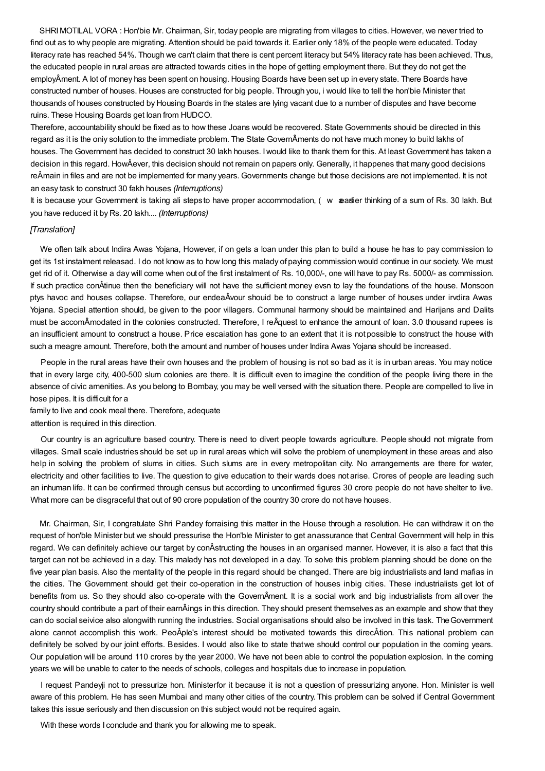SHRIMOTILAL VORA : Hon'bie Mr. Chairman, Sir, today people are migrating from villages to cities. However, we never tried to find out as to why people are migrating. Attention should be paid towards it. Earlier only 18% of the people were educated. Today literacy rate has reached 54%. Though we can't claim that there is cent percent literacy but 54% literacy rate has been achieved. Thus, the educated people in rural areas are attracted towards cities in the hope of getting employment there. But they do not get the employÂment. A lot of money has been spent on housing. Housing Boards have been set up in every state. There Boards have constructed number of houses. Houses are constructed for big people. Through you, i would like to tell the hon'bie Minister that thousands of houses constructed by Housing Boards in the states are lying vacant due to a number of disputes and have become ruins. These Housing Boards get loan from HUDCO.

Therefore, accountability should be fixed as to how these Joans would be recovered. State Governments shouid be directed in this regard as it is the oniy solution to the immediate problem. The State GovernÂments do not have much money to build lakhs of houses. The Government has decided to construct 30 lakh houses. Iwould like to thank them for this. At least Government has taken a decision in this regard. HowÂever, this decision should not remain on papers only. Generally, it happenes that many good decisions reÂmain in files and are not be implemented for many years. Governments change but those decisions are not implemented. It is not an easy task to construct 30 fakh houses *(Interruptions)*

It is because your Government is taking ali steps to have proper accommodation, ( w weatlier thinking of a sum of Rs. 30 lakh. But you have reduced it by Rs. 20 lakh.... *(Interruptions)*

#### *[Translation]*

We often talk about Indira Awas Yojana, However, if on gets a loan under this plan to build a house he has to pay commission to get its 1st instalment releasad. I do not know as to how long this malady of paying commission would continue in our society. We must get rid of it. Otherwise a day will come when out of the first instalment of Rs. 10,000/-, one will have to pay Rs. 5000/- as commission. If such practice conÂtinue then the beneficiary will not have the sufficient money evsn to lay the foundations of the house. Monsoon ptys havoc and houses collapse. Therefore, our endeaÂvour shouid be to construct a large number of houses under irvdira Awas Yojana. Special attention should, be given to the poor villagers. Communal harmony should be maintained and Harijans and Dalits must be accomÂmodated in the colonies constructed. Therefore, I reÂquest to enhance the amount of loan. 3.0 thousand rupees is an insufficient amount to construct a house. Price escaiation has gone to an extent that it is not possible to construct the house with such a meagre amount. Therefore, both the amount and number of houses under Indira Awas Yojana should be increased.

People in the rural areas have their own houses and the problem of housing is not so bad as it is in urban areas. You may notice that in every large city, 400-500 slum colonies are there. It is difficult even to imagine the condition of the people living there in the absence of civic amenities. As you belong to Bombay, you may be well versed with the situation there. People are compelled to live in hose pipes. It is difficult for a

family to live and cook meal there. Therefore, adequate attention is required in this direction.

Our country is an agriculture based country. There is need to divert people towards agriculture. People should not migrate from villages. Small scale industries should be set up in rural areas which will solve the problem of unemployment in these areas and also help in solving the problem of slums in cities. Such slums are in every metropolitan city. No arrangements are there for water, electricity and other facilities to live. The question to give education to their wards does not arise. Crores of people are leading such an inhuman life. It can be confirmed through census but according to unconfirmed figures 30 crore people do not have shelter to live.

What more can be disgraceful that out of 90 crore population of the country 30 crore do not have houses.

Mr. Chairman, Sir, I congratulate Shri Pandey forraising this matter in the House through a resolution. He can withdraw it on the request of hon'ble Minister but we should pressurise the Hon'ble Minister to get anassurance that Central Government will help in this regard. We can definitely achieve our target by conÂstructing the houses in an organised manner. However, it is also a fact that this target can not be achieved in a day. This malady has not developed in a day. To solve this problem planning should be done on the five year plan basis. Also the mentality of the people in this regard should be changed. There are big industrialists and land mafias in the cities. The Government should get their co-operation in the construction of houses inbig cities. These industrialists get lot of benefits from us. So they should also co-operate with the GovernÂment. It is a social work and big industrialists from all over the country should contribute a part of their earnÂings in this direction. They should present themselves as an example and show that they can do social seivice also alongwith running the industries. Social organisations should also be involved in this task. TheGovernment alone cannot accomplish this work. PeoÂple's interest should be motivated towards this direcÂtion. This national problem can definitely be solved by our joint efforts. Besides. I would also like to state thatwe should control our population in the coming years. Our population will be around 110 crores by the year 2000. We have not been able to control the population explosion. In the coming years we will be unable to cater to the needs of schools, colleges and hospitals due to increase in population.

I request Pandeyji not to pressurize hon. Ministerfor it because it is not a question of pressurizing anyone. Hon. Minister is well aware of this problem. He has seen Mumbai and many other cities of the country. This problem can be solved if Central Government takes this issue seriously and then discussion on this subject would not be required again.

With these words I conclude and thank you for allowing me to speak.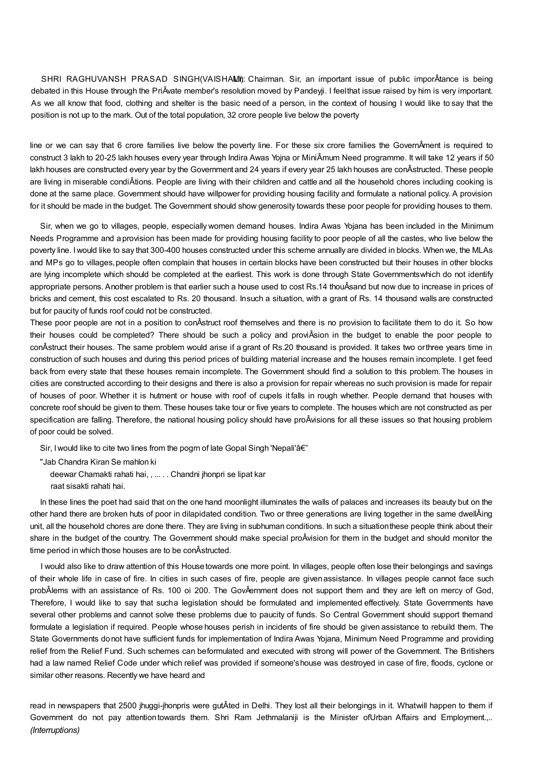SHRI RAGHUVANSH PRASAD SINGH(VAISHAMI): Chairman. Sir, an important issue of public imporÂtance is being debated in this House through the PriÂvate member's resolution moved by Pandeyji. I feelthat issue raised by him is very important. As we all know that food, clothing and shelter is the basic need of a person, in the context of housing I would like to say that the position is not up to the mark. Out of the total population, 32 crore people live below the poverty

line or we can say that 6 crore families live below the poverty line. For these six crore families the GovernÂment is required to construct 3 lakh to 20-25 lakh houses every year through Indira Awas Yojna or MiniÂmum Need programme. It will take 12 years if 50 lakh houses are constructed every year by the Government and 24 years if every year 25 lakh houses are conÂstructed. These people are living in miserable condiÂtions. People are living with their children and cattle and all the household chores including cooking is done at the same place. Government should have willpower for providing housing facility and formulate a national policy. A provision for it should be made in the budget. The Government should show generosity towards these poor people for providing houses to them.

Sir, when we go to villages, people, especially women demand houses. Indira Awas Yojana has been included in the Minimum Needs Programme and aprovision has been made for providing housing facility to poor people of all the castes, who live below the poverty line. Iwould like to say that 300-400 houses constructed under this scheme annually are divided in blocks. When we, the MLAs and MPs go to villages,people often complain that houses in certain blocks have been constructed but their houses in other blocks are lying incomplete which should be completed at the earliest. This work is done through State Governmentswhich do not identify appropriate persons. Another problem is that earlier such a house used to cost Rs.14 thouÂsand but now due to increase in prices of bricks and cement, this cost escalated to Rs. 20 thousand. Insuch a situation, with a grant of Rs. 14 thousand walls are constructed but for paucity of funds roof could not be constructed.

These poor people are not in a position to conÂstruct roof themselves and there is no provision to facilitate them to do it. So how their houses could be completed? There should be such a policy and proviÂsion in the budget to enable the poor people to conÂstruct their houses. The same problem would arise if a grant of Rs.20 thousand is provided. It takes two orthree years time in construction of such houses and during this period prices of building material increase and the houses remain incomplete. I get feed back from every state that these houses remain incomplete. The Government should find a solution to this problem.The houses in cities are constructed according to their designs and there is also a provision for repair whereas no such provision is made for repair of houses of poor. Whether it is hutment or house with roof of cupels it falls in rough whether. People demand that houses with concrete roof should be given to them. These houses take tour or five years to complete. The houses which are not constructed as per specification are falling. Therefore, the national housing policy should have proÂvisions for all these issues so that housing problem of poor could be solved.

Sir, I would like to cite two lines from the pogrn of late Gopal Singh 'Nepali'â€"

"Jab Chandra Kiran Se mahlon ki

deewar Chamakti rahati hai, , ... . . Chandni jhonpri se lipat kar

raat sisakti rahati hai.

In these lines the poet had said that on the one hand moonlight illuminates the walls of palaces and increases its beauty but on the other hand there are broken huts of poor in dilapidated condition. Two or three generations are living together in the same dwellÂing unit, all the household chores are done there. They are living in subhuman conditions. In such a situationthese people think about their share in the budget of the country. The Government should make special proÂvision for them in the budget and should monitor the time period in which those houses are to be conÂstructed.

I would also like to draw attention of this Housetowards one more point. In villages, people often lose their belongings and savings of their whole life in case of fire. In cities in such cases of fire, people are givenassistance. In villages people cannot face such probÂlems with an assistance of Rs. 100 oi 200. The GovÂernment does not support them and they are left on mercy of God, Therefore, I would like to say that sucha legislation should be formulated and implemented effectively. State Governments have several other problems and cannot solve these problems due to paucity of funds. So Central Government should support themand formulate a legislation if required. People whose houses perish in incidents of fire should be given assistance to rebuild them. The State Governments donot have sufficient funds for implementation of Indira Awas Yojana, Minimum Need Programme and providing relief from the Relief Fund. Such schemes can beformulated and executed with strong will power of the Government. The Britishers had a law named Relief Code under which relief was provided if someone'shouse was destroyed in case of fire, floods, cyclone or similar other reasons. Recently we have heard and

read in newspapers that 2500 jhuggi-jhonpris were gutÂted in Delhi. They lost all their belongings in it. Whatwill happen to them if Government do not pay attention towards them. Shri Ram Jethmalaniji is the Minister ofUrban Affairs and Employment.,.. *(Interruptions)*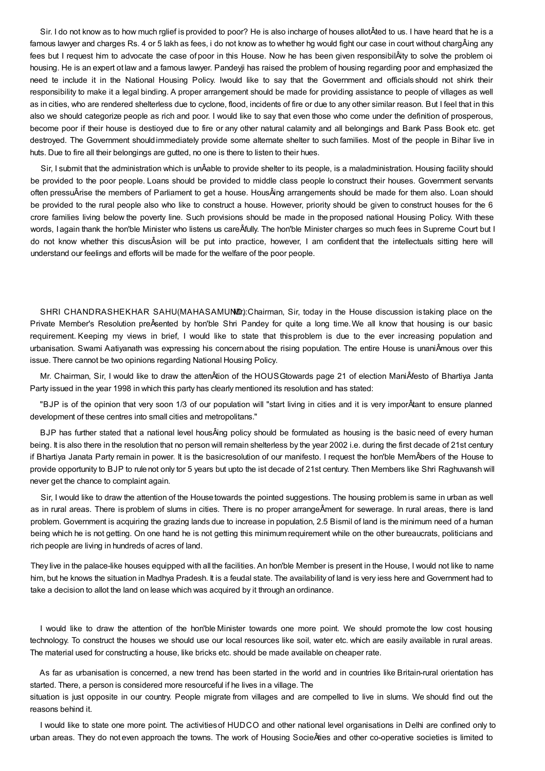Sir. I do not know as to how much rglief is provided to poor? He is also incharge of houses allotÂted to us. I have heard that he is a famous lawyer and charges Rs. 4 or 5 lakh as fees, i do not know as to whether hg would fight our case in court without chargÂing any fees but I request him to advocate the case of poor in this House. Now he has been given responsibilÂity to solve the problem oi housing. He is an expert ot law and a famous lawyer. Pandeyji has raised the problem of housing regarding poor and emphasized the need te include it in the National Housing Policy. Iwould like to say that the Government and officials should not shirk their responsibility to make it a legal binding. A proper arrangement should be made for providing assistance to people of villages as well as in cities, who are rendered shelterless due to cyclone, flood, incidents of fire or due to any other similar reason. But I feel that in this also we should categorize people as rich and poor. I would like to say that even those who come under the definition of prosperous, become poor if their house is destioyed due to fire or any other natural calamity and all belongings and Bank Pass Book etc. get destroyed. The Government shouldimmediately provide some alternate shelter to such families. Most of the people in Bihar live in huts. Due to fire all their belongings are gutted, no one is there to listen to their hues.

Sir, I submit that the administration which is unÂable to provide shelter to its people, is a maladministration. Housing facility should be provided to the poor people. Loans should be provided to middle class people lo construct their houses. Government servants often pressuÂrise the members of Parliament to get a house. HousÂing arrangements should be made for them also. Loan should be provided to the rural people also who like to construct a house. However, priority should be given to construct houses for the 6 crore families living below the poverty line. Such provisions should be made in the proposed national Housing Policy. With these words, I again thank the hon'ble Minister who listens us careÂfully. The hon'ble Minister charges so much fees in Supreme Court but I do not know whether this discusÂsion will be put into practice, however, I am confident that the intellectuals sitting here will understand our feelings and efforts will be made for the welfare of the poor people.

SHRI CHANDRASHEKHAR SAHU(MAHASAMUND): Chairman, Sir, today in the House discussion is taking place on the Private Member's Resolution preÂsented by hon'ble Shri Pandey for quite a long time.We all know that housing is our basic requirement. Keeping my views in brief, I would like to state that thisproblem is due to the ever increasing population and urbanisation. Swami Aatiyanath was expressing his concernabout the rising population. The entire House is unaniÂmous over this issue. There cannot be two opinions regarding National Housing Policy.

Mr. Chairman, Sir, I would like to draw the attenÂtion of the HOUSGtowards page 21 of election ManiÂfesto of Bhartiya Janta Party issued in the year 1998 in which this party has clearly mentioned its resolution and has stated:

"BJP is of the opinion that very soon 1/3 of our population will "start living in cities and it is very imporÂtant to ensure planned development of these centres into small cities and metropolitans."

BJP has further stated that a national level housÂing policy should be formulated as housing is the basic need of every human being. It is also there in the resolution that no person will remain shelterless by the year 2002 i.e. during the first decade of 21st century if Bhartiya Janata Party remain in power. It is the basicresolution of our manifesto. I request the hon'ble MemÂbers of the House to provide opportunity to BJP to rulenot only tor 5 years but upto the ist decade of 21st century. Then Members like Shri Raghuvansh will never get the chance to complaint again.

Sir, I would like to draw the attention of the Housetowards the pointed suggestions. The housing problem is same in urban as well as in rural areas. There is problem of slums in cities. There is no proper arrangeÂment for sewerage. In rural areas, there is land problem. Government is acquiring the grazing lands due to increase in population, 2.5 Bismil of land is the minimum need of a human being which he is not getting. On one hand he is not getting this minimum requirement while on the other bureaucrats, politicians and rich people are living in hundreds of acres of land.

They live in the palace-like houses equipped with all the facilities. An hon'ble Member is present in the House, I would not like to name him, but he knows the situation in Madhya Pradesh. It is a feudal state. The availability of land is very iess here and Government had to take a decision to allot the land on lease which was acquired by it through an ordinance.

I would like to draw the attention of the hon'ble Minister towards one more point. We should promote the low cost housing technology. To construct the houses we should use our local resources like soil, water etc. which are easily available in rural areas. The material used for constructing a house, like bricks etc. should be made available on cheaper rate.

As far as urbanisation is concerned, a new trend has been started in the world and in countries like Britain-rural orientation has started. There, a person is considered more resourceful if he lives in a village. The

situation is just opposite in our country. People migrate from villages and are compelled to live in slums. We should find out the reasons behind it.

I would like to state one more point. The activitiesof HUDCO and other national level organisations in Delhi are confined only to urban areas. They do not even approach the towns. The work of Housing SocieÂties and other co-operative societies is limited to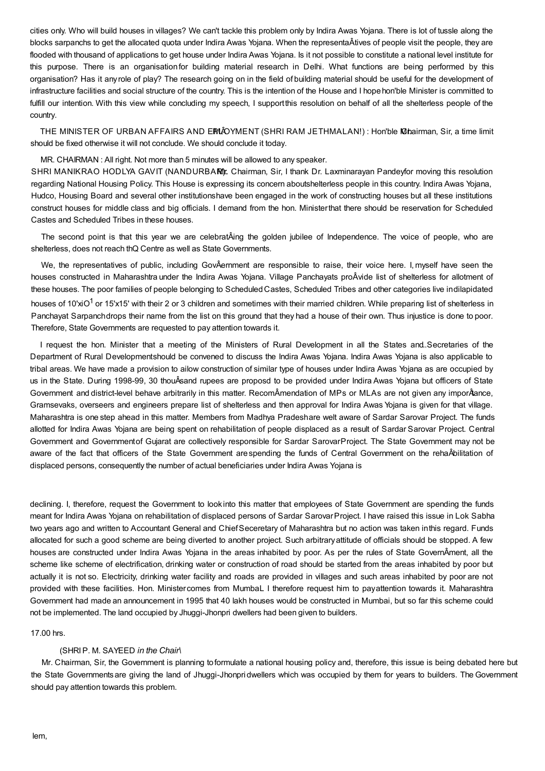cities only. Who will build houses in villages? We can't tackle this problem only by Indira Awas Yojana. There is lot of tussle along the blocks sarpanchs to get the allocated quota under Indira Awas Yojana. When the representaÂtives of people visit the people, they are flooded with thousand of applications to get house under Indira Awas Yojana. Is it not possible to constitute a national level institute for this purpose. There is an organisationfor building material research in Delhi. What functions are being performed by this organisation? Has it any role of play? The research going on in the field of building material should be useful for the development of infrastructure facilities and social structure of the country. This is the intention of the House and I hope hon'ble Minister is committed to fulfill our intention. With this view while concluding my speech, I supportthis resolution on behalf of all the shelterless people of the country.

THE MINISTER OF URBAN AFFAIRS AND ERMÂOYMENT (SHRI RAM JETHMALAN!) : Hon'ble Mairman, Sir, a time limit should be fixed otherwise it will not conclude. We should conclude it today.

MR. CHAIRMAN : All right. Not more than 5 minutes will be allowed to any speaker.

SHRI MANIKRAO HODLYA GAVIT (NANDURBARI):. Chairman, Sir, I thank Dr. Laxminarayan Pandeyfor moving this resolution regarding National Housing Policy. This House is expressing its concern aboutshelterless people in this country. Indira Awas Yojana, Hudco, Housing Board and several other institutionshave been engaged in the work of constructing houses but all these institutions construct houses for middle class and big officials. I demand from the hon. Ministerthat there should be reservation for Scheduled Castes and Scheduled Tribes in these houses.

The second point is that this year we are celebratÂing the golden jubilee of Independence. The voice of people, who are shelterless, does not reach thQ Centre as well as State Governments.

We, the representatives of public, including GovÂernment are responsible to raise, their voice here. I,myself have seen the houses constructed in Maharashtra under the Indira Awas Yojana. Village Panchayats proÂvide list of shelterless for allotment of these houses. The poor families of people belonging to Scheduled Castes, Scheduled Tribes and other categories live indilapidated houses of 10'xiO<sup>1</sup> or 15'x15' with their 2 or 3 children and sometimes with their married children. While preparing list of shelterless in Panchayat Sarpanchdrops their name from the list on this ground that they had a house of their own. Thus injustice is done to poor. Therefore, State Governments are requested to pay attention towards it.

I request the hon. Minister that a meeting of the Ministers of Rural Development in all the States and..Secretaries of the Department of Rural Developmentshould be convened to discuss the Indira Awas Yojana. Indira Awas Yojana is also applicable to tribal areas. We have made a provision to ailow construction of similar type of houses under Indira Awas Yojana as are occupied by us in the State. During 1998-99, 30 thouÂsand rupees are proposd to be provided under Indira Awas Yojana but officers of State Government and district-level behave arbitrarily in this matter. RecomÂmendation of MPs or MLAs are not given any imporÂtance, Gramsevaks, overseers and engineers prepare list of shelterless and then approval for Indira Awas Yojana is given for that village. Maharashtra is one step ahead in this matter. Members from Madhya Pradeshare welt aware of Sardar Sarovar Project. The funds allotted for Indira Awas Yojana are being spent on rehabilitation of people displaced as a result of Sardar Sarovar Project. Central Government and Governmentof Gujarat are collectively responsible for Sardar SarovarProject. The State Government may not be aware of the fact that officers of the State Government arespending the funds of Central Government on the rehaÂbilitation of displaced persons, consequently the number of actual beneficiaries under Indira Awas Yojana is

declining. I, therefore, request the Government to look into this matter that employees of State Government are spending the funds meant for Indira Awas Yojana on rehabilitation of displaced persons of Sardar SarovarProject. I have raised this issue in Lok Sabha two years ago and written to Accountant General and ChiefSeceretary of Maharashtra but no action was taken inthis regard. Funds allocated for such a good scheme are being diverted to another project. Such arbitraryattitude of officials should be stopped. A few houses are constructed under Indira Awas Yojana in the areas inhabited by poor. As per the rules of State GovernÂment, all the scheme like scheme of electrification, drinking water or construction of road should be started from the areas inhabited by poor but actually it is not so. Electricity, drinking water facility and roads are provided in villages and such areas inhabited by poor are not provided with these facilities. Hon. Ministercomes from MumbaL I therefore request him to payattention towards it. Maharashtra Government had made an announcement in 1995 that 40 lakh houses would be constructed in Mumbai, but so far this scheme could not be implemented. The land occupied by Jhuggi-Jhonpri dwellers had been given to builders.

17.00 hrs.

# (SHRIP. M. SAYEED *in the Chair\*

Mr. Chairman, Sir, the Government is planning toformulate a national housing policy and, therefore, this issue is being debated here but the State Governmentsare giving the land of Jhuggi-Jhonpri dwellers which was occupied by them for years to builders. TheGovernment should pay attention towards this problem.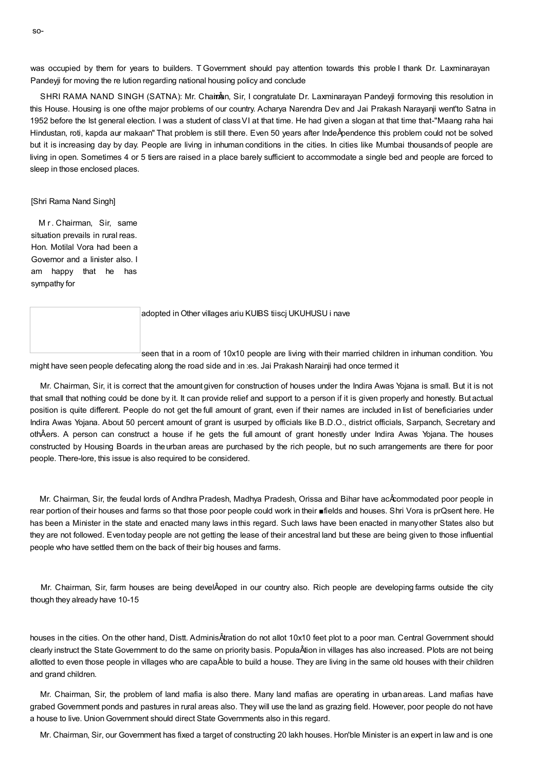was occupied by them for years to builders. T Government should pay attention towards this proble I thank Dr. Laxminarayan Pandeyji for moving the re lution regarding national housing policy and conclude

SHRI RAMA NAND SINGH (SATNA): Mr. Chainan, Sir, I congratulate Dr. Laxminarayan Pandeyji formoving this resolution in this House. Housing is one ofthe major problems of our country. Acharya Narendra Dev and Jai Prakash Narayanji went'to Satna in 1952 before the Ist general election. I was a student of classVI at that time. He had given a slogan at that time that-"Maang raha hai Hindustan, roti, kapda aur makaan" That problem is still there. Even 50 years after IndeÂpendence this problem could not be solved but it is increasing day by day. People are living in inhuman conditions in the cities. In cities like Mumbai thousandsof people are living in open. Sometimes 4 or 5 tiers are raised in a place barely sufficient to accommodate a single bed and people are forced to sleep in those enclosed places.

[Shri Rama Nand Singh]

M r. Chairman, Sir, same situation prevails in rural reas. Hon. Motilal Vora had been a Governor and a linister also. I am happy that he has sympathy for

| adopted in Other villages ariu KUIBS tiisci UKUHUSU i nave                                           |
|------------------------------------------------------------------------------------------------------|
|                                                                                                      |
| seen that in a room of 10x10 people are living with their married children in inhuman condition. You |

might have seen people defecating along the road side and in :es. Jai Prakash Narainji had once termed it

Mr. Chairman, Sir, it is correct that the amount given for construction of houses under the Indira Awas Yojana is small. But it is not that small that nothing could be done by it. It can provide relief and support to a person if it is given properly and honestly. But actual position is quite different. People do not get the full amount of grant, even if their names are included in list of beneficiaries under Indira Awas Yojana. About 50 percent amount of grant is usurped by officials like B.D.O., district officials, Sarpanch, Secretary and othÂers. A person can construct a house if he gets the full amount of grant honestly under Indira Awas Yojana. The houses constructed by Housing Boards in theurban areas are purchased by the rich people, but no such arrangements are there for poor people. There-lore, this issue is also required to be considered.

Mr. Chairman, Sir, the feudal lords of Andhra Pradesh, Madhya Pradesh, Orissa and Bihar have acÂcommodated poor people in rear portion of their houses and farms so that those poor people could work in their ■fields and houses. Shri Vora is prQsent here. He has been a Minister in the state and enacted many laws inthis regard. Such laws have been enacted in manyother States also but they are not followed. Eventoday people are not getting the lease of their ancestral land but these are being given to those influential people who have settled them on the back of their big houses and farms.

Mr. Chairman, Sir, farm houses are being develÂoped in our country also. Rich people are developing farms outside the city though they already have 10-15

houses in the cities. On the other hand, Distt. AdminisÂtration do not allot 10x10 feet plot to a poor man. Central Government should clearly instruct the State Government to do the same on priority basis. PopulaÂtion in villages has also increased. Plots are not being allotted to even those people in villages who are capaÂble to build a house. They are living in the same old houses with their children and grand children.

Mr. Chairman, Sir, the problem of land mafia is also there. Many land mafias are operating in urbanareas. Land mafias have grabed Government ponds and pastures in rural areas also. They will use the land as grazing field. However, poor people do not have a house to live. UnionGovernment should direct State Governments also in this regard.

Mr. Chairman, Sir, our Government has fixed a target of constructing 20 lakh houses. Hon'ble Minister is an expert in law and is one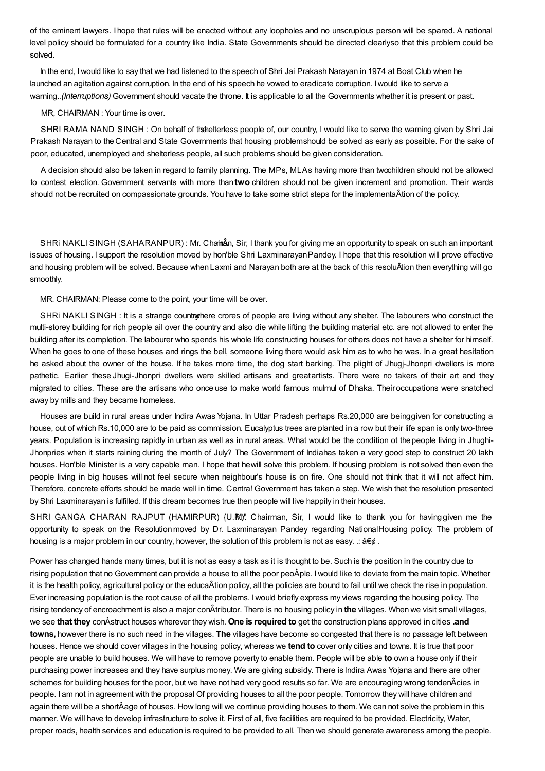of the eminent lawyers. I hope that rules will be enacted without any loopholes and no unscruplous person will be spared. A national level policy should be formulated for a country like India. State Governments should be directed clearlyso that this problem could be solved.

In the end, Iwould like to say that we had listened to the speech of Shri Jai Prakash Narayan in 1974 at Boat Club when he launched an agitation against corruption. In the end of his speech he vowed to eradicate corruption. Iwould like to serve a warning.*.(Interruptions)* Government should vacate the throne. It is applicable to all the Governments whether it is present or past.

#### MR, CHAIRMAN : Your time is over.

SHRI RAMA NAND SINGH : On behalf of the helterless people of, our country, I would like to serve the warning given by Shri Jai Prakash Narayan to theCentral and State Governments that housing problemshould be solved as early as possible. For the sake of poor, educated, unemployed and shelterless people, all such problems should be given consideration.

A decision should also be taken in regard to family planning. The MPs, MLAs having more than twochildren should not be allowed to contest election. Government servants with more than**two** children should not be given increment and promotion. Their wards should not be recruited on compassionate grounds. You have to take some strict steps for the implementaÂtion of the policy.

SHRi NAKLI SINGH (SAHARANPUR) : Mr. Chainann Sir, I thank you for giving me an opportunity to speak on such an important issues of housing. I support the resolution moved by hon'ble Shri LaxminarayanPandey. I hope that this resolution will prove effective and housing problem will be solved. Because when Laxmi and Narayan both are at the back of this resoluÂtion then everything will go smoothly.

MR. CHAIRMAN: Please come to the point, your time will be over.

SHRi NAKLl SINGH : It is a strange countrwyhere crores of people are living without any shelter. The labourers who construct the multi-storey building for rich people ail over the country and also die while lifting the building material etc. are not allowed to enter the building after its completion. The labourer who spends his whole life constructing houses for others does not have a shelter for himself. When he goes to one of these houses and rings the bell, someone living there would ask him as to who he was. In a great hesitation he asked about the owner of the house. If he takes more time, the dog start barking. The plight of Jhugj-Jhonpri dwellers is more pathetic. Earlier these Jhugi-Jhonpri dwellers were skilled artisans and greatartists. There were no takers of their art and they migrated to cities. These are the artisans who once use to make world famous mulmul of Dhaka. Theiroccupations were snatched away by mills and they became homeless.

Houses are build in rural areas under Indira Awas Yojana. In Uttar Pradesh perhaps Rs.20,000 are beinggiven for constructing a house, out of which Rs.10,000 are to be paid as commission. Eucalyptus trees are planted in a row but their life span is only two-three years. Population is increasing rapidly in urban as well as in rural areas. What would be the condition ot thepeople living in Jhughi-Jhonpries when it starts raining during the month of July? The Government of Indiahas taken a very good step to construct 20 lakh houses. Hon'ble Minister is a very capable man. I hope that hewill solve this problem. If housing problem is not solved then even the people living in big houses will not feel secure when neighbour's house is on fire. One should not think that it will not affect him. Therefore, concrete efforts should be made well in time. Centra! Government has taken a step. We wish that the resolution presented by Shri Laxminarayan is fulfilled. If this dream becomes true then people will live happily in their houses.

SHRI GANGA CHARAN RAJPUT (HAMIRPUR) {U.RM}". Chairman, Sir, I would like to thank you for havinggiven me the opportunity to speak on the Resolutionmoved by Dr. Laxminarayan Pandey regarding NationalHousing policy. The problem of housing is a major problem in our country, however, the solution of this problem is not as easy. .:  $\hat{a} \in \phi$ .

Power has changed hands many times, but it is not as easy a task as it is thought to be. Such is the position in the country due to rising population that no Government can provide a house to all the poor peoÂple. Iwould like to deviate from the main topic. Whether it is the health policy, agricultural policy or the educaÂtion policy, all the policies are bound to fail until we check the rise in population. Ever increasing population is the root cause of all the problems. Iwould briefly express my views regarding the housing policy. The rising tendency of encroachment is also a major conÂtributor. There is no housing policy in **the** villages. When we visit small villages, we see **that they** conÂstruct houses wherever they wish. **One is required to** get the construction plans approved in cities **.and towns,** however there is no such need in the villages. **The** villages have become so congested that there is no passage left between houses. Hence we should cover villages in the housing policy, whereas we **tend to** cover only cities and towns. It is true that poor people are unable to build houses. We will have to remove poverty to enable them. People will be able **to** own a house only if their purchasing power increases and they have surplus money. We are giving subsidy. There is Indira Awas Yojana and there are other schemes for building houses for the poor, but we have not had very good results so far. We are encouraging wrong tendenÂcies in people. I am not in agreement with the proposal Of providing houses to all the poor people. Tomorrow they will have children and again there will be a shortÂage of houses. How long will we continue providing houses to them. We can not solve the problem in this manner. We will have to develop infrastructure to solve it. First of all, five facilities are required to be provided. Electricity, Water, proper roads, health services and education is required to be provided to all. Then we should generate awareness among the people.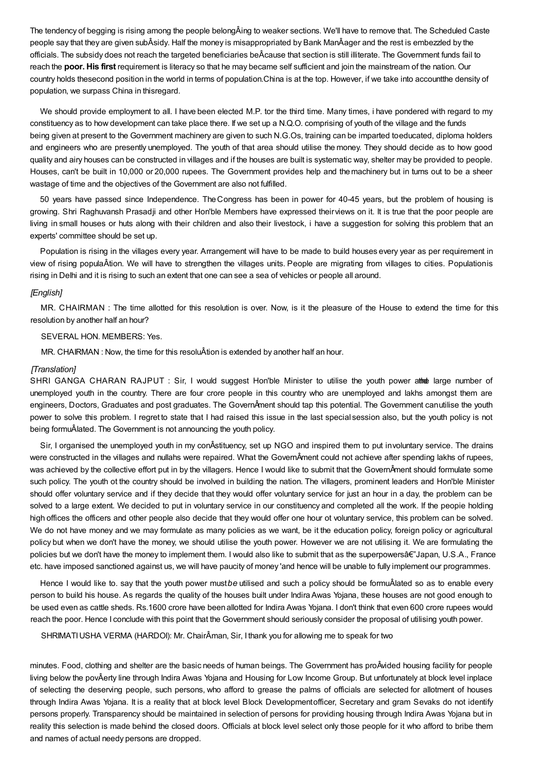The tendency of begging is rising among the people belongÂing to weaker sections. We'll have to remove that. The Scheduled Caste people say that they are given subÂsidy. Half the money is misappropriated by Bank ManÂager and the rest is embezzled by the officials. The subsidy does not reach the targeted beneficiaries beÂcause that section is still illiterate. The Government funds fail to reach the **poor. His first** requirement is literacy so that he may became self sufficient and join the mainstream of the nation. Our country holds thesecond position in the world in terms of population.China is at the top. However, if we take into accountthe density of population, we surpass China in thisregard.

We should provide employment to all. I have been elected M.P. tor the third time. Many times, i have pondered with regard to my constituency as to how development can take place there. If we set up a N.Q.O. comprising of youth of the village and the funds being given at present to the Government machinery are given to such N.G.Os, training can be imparted toeducated, diploma holders and engineers who are presently unemployed. The youth of that area should utilise the money. They should decide as to how good quality and airy houses can be constructed in villages and if the houses are built is systematic way, shelter may be provided to people. Houses, can't be built in 10,000 or 20,000 rupees. The Government provides help and themachinery but in turns out to be a sheer wastage of time and the objectives of the Government are also not fulfilled.

50 years have passed since Independence. TheCongress has been in power for 40-45 years, but the problem of housing is growing. Shri Raghuvansh Prasadji and other Hon'ble Members have expressed theirviews on it. It is true that the poor people are living in small houses or huts along with their children and also their livestock, i have a suggestion for solving this problem that an experts' committee should be set up.

Population is rising in the villages every year. Arrangement will have to be made to build houses every year as per requirement in view of rising populaÂtion. We will have to strengthen the villages units. People are migrating from villages to cities. Populationis rising in Delhi and it is rising to such an extent that one can see a sea of vehicles or people all around.

## *[English]*

MR. CHAIRMAN : The time allotted for this resolution is over. Now, is it the pleasure of the House to extend the time for this resolution by another half an hour?

### SEVERAL HON. MEMBERS: Yes.

MR. CHAIRMAN : Now, the time for this resoluÂtion is extended by another half an hour.

#### *[Translation]*

SHRI GANGA CHARAN RAJPUT : Sir, I would suggest Hon'ble Minister to utilise the youth power athe large number of unemployed youth in the country. There are four crore people in this country who are unemployed and lakhs amongst them are engineers, Doctors, Graduates and post graduates. The GovernÂment should tap this potential. The Government canutilise the youth power to solve this problem. I regret to state that I had raised this issue in the last special session also, but the youth policy is not being formuÂlated. The Government is not announcing the youth policy.

Sir, I organised the unemployed youth in my conÂstituency, set up NGO and inspired them to put involuntary service. The drains were constructed in the villages and nullahs were repaired. What the GovernÂment could not achieve after spending lakhs of rupees, was achieved by the collective effort put in by the villagers. Hence I would like to submit that the GovernÂment should formulate some such policy. The youth ot the country should be involved in building the nation. The villagers, prominent leaders and Hon'ble Minister should offer voluntary service and if they decide that they would offer voluntary service for just an hour in a day, the problem can be solved to a large extent. We decided to put in voluntary service in our constituency and completed all the work. If the peopie holding high offices the officers and other people also decide that they would offer one hour ot voluntary service, this problem can be solved. We do not have money and we may formulate as many policies as we want, be it the education policy, foreign policy or agricultural policy but when we don't have the money, we should utilise the youth power. However we are not utilising it. We are formulating the policies but we don't have the money to implement them. I would also like to submit that as the superpowersâ€"Japan, U.S.A., France etc. have imposed sanctioned against us, we will have paucity of money 'and hence will be unable to fully implement our programmes.

Hence I would like to. say that the youth power must*be* utilised and such a policy should be formuÂlated so as to enable every person to build his house. As regards the quality of the houses built under IndiraAwas Yojana, these houses are not good enough to be used even as cattle sheds. Rs.1600 crore have beenallotted for Indira Awas Yojana. I don't think that even 600 crore rupees would reach the poor. Hence I conclude with this point that the Government should seriously consider the proposal of utilising youth power.

SHRIMATIUSHA VERMA (HARDOI): Mr. ChairÂman, Sir, I thank you for allowing me to speak for two

minutes. Food, clothing and shelter are the basic needs of human beings. The Government has proÂvided housing facility for people living below the povÂerty line through Indira Awas Yojana and Housing for Low Income Group. But unfortunately at block level inplace of selecting the deserving people, such persons, who afford to grease the palms of officials are selected for allotment of houses through Indira Awas Yojana. It is a reality that at block level Block Developmentofficer, Secretary and gram Sevaks do not identify persons properly. Transparency should be maintained in selection of persons for providing housing through Indira Awas Yojana but in reality this selection is made behind the closed doors. Officials at block level select only those people for it who afford to bribe them and names of actual needy persons are dropped.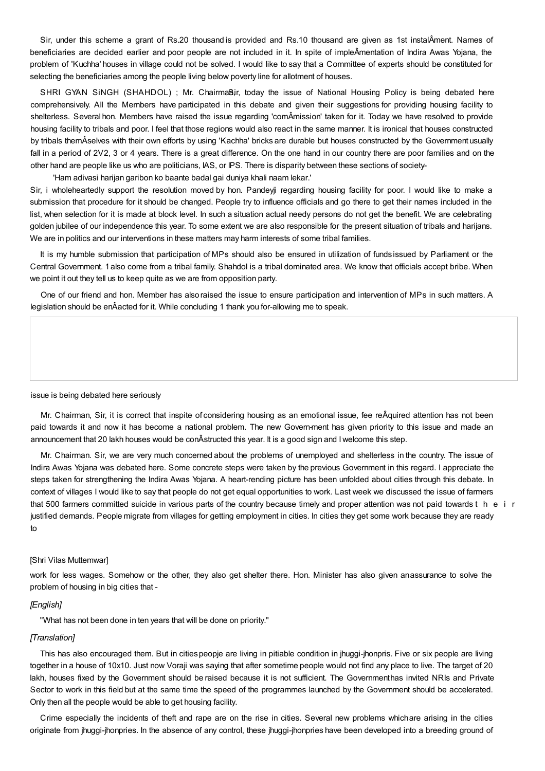Sir, under this scheme a grant of Rs.20 thousand is provided and Rs.10 thousand are given as 1st instalÂment. Names of beneficiaries are decided earlier and poor people are not included in it. In spite of impleÂmentation of Indira Awas Yojana, the problem of 'Kuchha' houses in village could not be solved. I would like to say that a Committee of experts should be constituted for selecting the beneficiaries among the people living below poverty line for allotment of houses.

SHRI GYAN SINGH (SHAHDOL); Mr. Chairma8ir, today the issue of National Housing Policy is being debated here comprehensively. All the Members have participated in this debate and given their suggestions for providing housing facility to shelterless. Several hon. Members have raised the issue regarding 'comÂmission' taken for it. Today we have resolved to provide housing facility to tribals and poor. I feel that those regions would also react in the same manner. It is ironical that houses constructed by tribals themÂselves with their own efforts by using 'Kachha' bricks are durable but houses constructed by the Government usually fall in a period of 2V2, 3 or 4 years. There is a great difference. On the one hand in our country there are poor families and on the other hand are people like us who are politicians, IAS, or IPS. There is disparity between these sections of society-

'Ham adivasi harijan garibon ko baante badal gai duniya khali naam lekar.'

Sir, i wholeheartedly support the resolution moved by hon. Pandeyji regarding housing facility for poor. I would like to make a submission that procedure for it should be changed. People try to influence officials and go there to get their names included in the list, when selection for it is made at block level. In such a situation actual needy persons do not get the benefit. We are celebrating golden jubilee of our independence this year. To some extent we are also responsible for the present situation of tribals and harijans. We are in politics and our interventions in these matters may harm interests of some tribal families.

It is my humble submission that participation of MPs should also be ensured in utilization of funds issued by Parliament or the Central Government. 1also come from a tribal family. Shahdol is a tribal dominated area. We know that officials accept bribe. When we point it out they tell us to keep quite as we are from opposition party.

One of our friend and hon. Member has alsoraised the issue to ensure participation and intervention of MPs in such matters. A legislation should be enÂacted for it. While concluding 1 thank you for-allowing me to speak.

issue is being debated here seriously

Mr. Chairman, Sir, it is correct that inspite of considering housing as an emotional issue, fee reÂquired attention has not been paid towards it and now it has become a national problem. The new Govern-ment has given priority to this issue and made an announcement that 20 lakh houses would be conÂstructed this year. It is a good sign and Iwelcome this step.

Mr. Chairman. Sir, we are very much concerned about the problems of unemployed and shelterless in the country. The issue of Indira Awas Yojana was debated here. Some concrete steps were taken by the previous Government in this regard. I appreciate the steps taken for strengthening the Indira Awas Yojana. A heart-rending picture has been unfolded about cities through this debate. In context of villages I would like to say that people do not get equal opportunities to work. Last week we discussed the issue of farmers that 500 farmers committed suicide in various parts of the country because timely and proper attention was not paid towards t h e i r justified demands. People migrate from villages for getting employment in cities. In cities they get some work because they are ready to

#### [Shri Vilas Muttemwar]

work for less wages. Somehow or the other, they also get shelter there. Hon. Minister has also given anassurance to solve the problem of housing in big cities that -

#### *[English]*

"What has not been done in ten years that will be done on priority."

### *[Translation]*

This has also encouraged them. But in citiespeopje are living in pitiable condition in jhuggi-jhonpris. Five or six people are living together in a house of 10x10. Just now Voraji was saying that after sometime people would not find any place to live. The target of 20 lakh, houses fixed by the Government should be raised because it is not sufficient. The Governmenthas invited NRIs and Private Sector to work in this field but at the same time the speed of the programmes launched by the Government should be accelerated. Only then all the people would be able to get housing facility.

Crime especially the incidents of theft and rape are on the rise in cities. Several new problems whichare arising in the cities originate from jhuggi-jhonpries. In the absence of any control, these jhuggi-jhonpries have been developed into a breeding ground of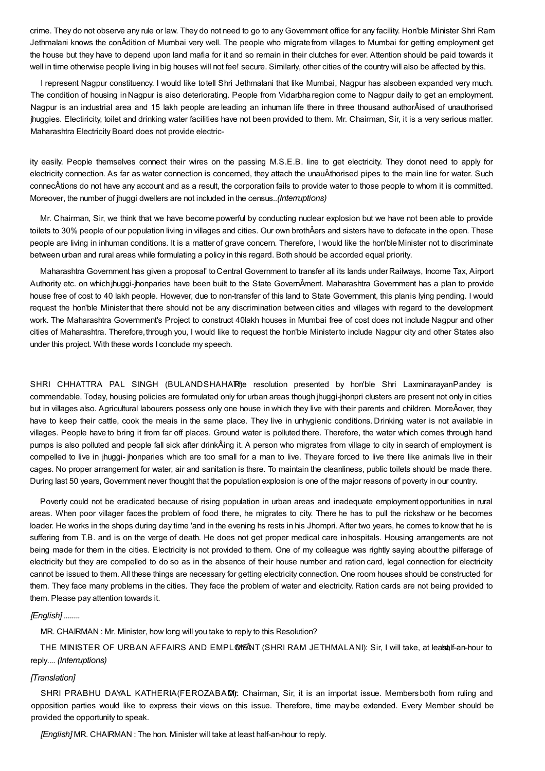crime. They do not observe any rule or law. They do not need to go to any Government office for any facility. Hon'ble Minister Shri Ram Jethmalani knows the conÂdition of Mumbai very well. The people who migratefrom villages to Mumbai for getting employment get the house but they have to depend upon land mafia for it and so remain in their clutches for ever. Attention should be paid towards it well in time otherwise people living in big houses will not fee! secure. Similarly, other cities of the country will also be affected by this.

I represent Nagpur constituency. I would like totell Shri Jethmalani that like Mumbai, Nagpur has alsobeen expanded very much. The condition of housing inNagpur is aiso deteriorating. People from Vidarbharegion come to Nagpur daily to get an employment. Nagpur is an industrial area and 15 lakh people are leading an inhuman life there in three thousand authorÂised of unauthorised jhuggies. Electiricity, toilet and drinking water facilities have not been provided to them. Mr. Chairman, Sir, it is a very serious matter. Maharashtra Electricity Board does not provide electric-

ity easily. People themselves connect their wires on the passing M.S.E.B. line to get electricity. They donot need to apply for electricity connection. As far as water connection is concerned, they attach the unauÂthorised pipes to the main line for water. Such connecÂtions do not have any account and as a result, the corporation fails to provide water to those people to whom it is committed. Moreover, the number of jhuggi dwellers are not included in the census..*(Interruptions)*

Mr. Chairman, Sir, we think that we have become powerful by conducting nuclear explosion but we have not been able to provide toilets to 30% people of our population living in villages and cities. Our own brothÂers and sisters have to defacate in the open. These people are living in inhuman conditions. It is a matter of grave concern. Therefore, I would like the hon'ble Minister not to discriminate between urban and rural areas while formulating a policy in this regard. Both should be accorded equal priority.

Maharashtra Government has given a proposal' toCentral Government to transfer all its lands underRailways, Income Tax, Airport Authority etc. on which jhuggi-jhonparies have been built to the State GovernÂment. Maharashtra Government has a plan to provide house free of cost to 40 lakh people. However, due to non-transfer of this land to State Government, this planis lying pending. I would request the hon'ble Minister that there should not be any discrimination between cities and villages with regard to the development work. The Maharashtra Government's Project to construct 40lakh houses in Mumbai free of cost does not include Nagpur and other cities of Maharashtra. Therefore, through you, I would like to request the hon'ble Ministerto include Nagpur city and other States also under this project. With these words I conclude my speech.

SHRI CHHATTRA PAL SINGH (BULANDSHAHAR)e resolution presented by hon'ble Shri LaxminarayanPandey is commendable. Today, housing policies are formulated only for urban areas though jhuggi-jhonpri clusters are present not only in cities but in villages also. Agricultural labourers possess only one house in which they live with their parents and children. MoreÂover, they have to keep their cattle, cook the meais in the same place. They live in unhygienic conditions.Drinking water is not available in villages. People have to bring it from far off places. Ground water is polluted there. Therefore, the water which comes through hand pumps is also polluted and people fall sick after drinkÂing it. A person who migrates from village to city in search of employment is compelled to live in jhuggi- jhonparies which are too small for a man to live. Theyare forced to live there like animals live in their cages. No proper arrangement for water, air and sanitation is thsre. To maintain the cleanliness, public toilets should be made there. During last 50 years, Government never thought that the population explosion is one of the major reasons of poverty in our country.

Poverty could not be eradicated because of rising population in urban areas and inadequate employment opportunities in rural areas. When poor villager faces the problem of food there, he migrates to city. There he has to pull the rickshaw or he becomes loader. He works in the shops during day time 'and in the evening hs rests in his Jhompri. After two years, he comes to know that he is suffering from T.B. and is on the verge of death. He does not get proper medical care inhospitals. Housing arrangements are not being made for them in the cities. Electricity is not provided to them. One of my colleague was rightly saying about the pilferage of electricity but they are compelled to do so as in the absence of their house number and ration card, legal connection for electricity cannot be issued to them. All these things are necessary for getting electricity connection. One room houses should be constructed for them. They face many problems in the cities. They face the problem of water and electricity. Ration cards are not being provided to them. Please pay attention towards it.

## *[English] ........*

MR. CHAIRMAN : Mr. Minister, how long will you take to reply to this Resolution?

THE MINISTER OF URBAN AFFAIRS AND EMPLOMEANT (SHRI RAM JETHMALANI): Sir, I will take, at leabtalf-an-hour to reply.... *(Interruptions)*

## *[Translation]*

SHRI PRABHU DAYAL KATHERIA(FEROZABAM): Chairman, Sir, it is an importat issue. Members both from ruling and opposition parties would like to express their views on this issue. Therefore, time maybe extended. Every Member should be provided the opportunity to speak.

*[English]* MR. CHAIRMAN : The hon. Minister will take at least half-an-hour to reply.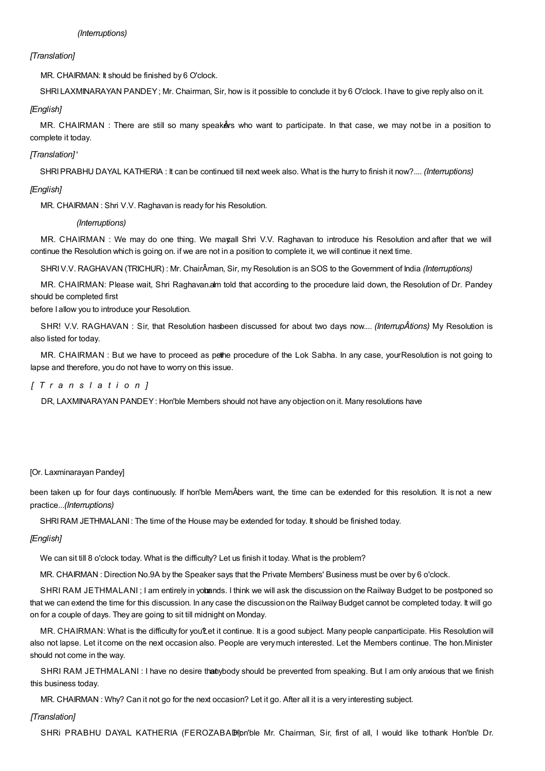## *[Translation]*

MR. CHAIRMAN: It should be finished by 6 O'clock.

SHRI LAXMINARAYAN PANDEY; Mr. Chairman, Sir, how is it possible to conclude it by 6 O'clock. I have to give reply also on it.

## *[English]*

MR. CHAIRMAN : There are still so many speakers who want to participate. In that case, we may not be in a position to complete it today.

# *[Translation]* '

SHRIPRABHU DAYAL KATHERIA : It can be continued till next week also. What is the hurry to finish it now?.... *(Interruptions)*

# *[English]*

MR. CHAIRMAN : Shri V.V. Raghavan is ready for his Resolution.

# *(Interruptions)*

MR. CHAIRMAN : We may do one thing. We mayall Shri V.V. Raghavan to introduce his Resolution and after that we will continue the Resolution which is going on. if we are not in a position to complete it, we will continue it next time.

SHRIV.V. RAGHAVAN (TRICHUR) : Mr. ChairÂman, Sir, my Resolution is an SOS to the Government of India *(Interruptions)*

MR. CHAIRMAN: Please wait, Shri Raghavan.alm told that according to the procedure laid down, the Resolution of Dr. Pandey should be completed first

before I allow you to introduce your Resolution.

SHR! V.V. RAGHAVAN : Sir, that Resolution hasbeen discussed for about two days now.... *(InterrupÂtions)* My Resolution is also listed for today.

MR. CHAIRMAN : But we have to proceed as pethe procedure of the Lok Sabha. In any case, yourResolution is not going to lapse and therefore, you do not have to worry on this issue.

# *[ T r a n s l a t i o n ]*

DR, LAXMINARAYAN PANDEY: Hon'ble Members should not have any objection on it. Many resolutions have

# [Or. Laxminarayan Pandey]

been taken up for four days continuously. If hon'ble MemÂbers want, the time can be extended for this resolution. It is not a new practice...*(Interruptions)*

SHRI RAM JETHMALANI: The time of the House may be extended for today. It should be finished today.

## *[English]*

We can sit till 8 o'clock today. What is the difficulty? Let us finish it today. What is the problem?

MR. CHAIRMAN : Direction No.9A by the Speaker says that the Private Members' Business must be over by 6 o'clock.

SHRI RAM JETHMALANI; I am entirely in yobands. I think we will ask the discussion on the Railway Budget to be postponed so that we can extend the time for this discussion. In any case the discussionon the Railway Budget cannot be completed today. It will go on for a couple of days. They are going to sit till midnight on Monday.

MR. CHAIRMAN: What is the difficulty for you'Let it continue. It is a good subject. Many people canparticipate. His Resolution will also not lapse. Let it come on the next occasion also. People are verymuch interested. Let the Members continue. The hon.Minister should not come in the way.

SHRI RAM JETHMALANI : I have no desire thanybody should be prevented from speaking. But I am only anxious that we finish this business today.

MR. CHAIRMAN: Why? Can it not go for the next occasion? Let it go. After all it is a very interesting subject.

# *[Translation]*

SHRi PRABHU DAYAL KATHERIA (FEROZABADH)pn'ble Mr. Chairman, Sir, first of all, I would like tothank Hon'ble Dr.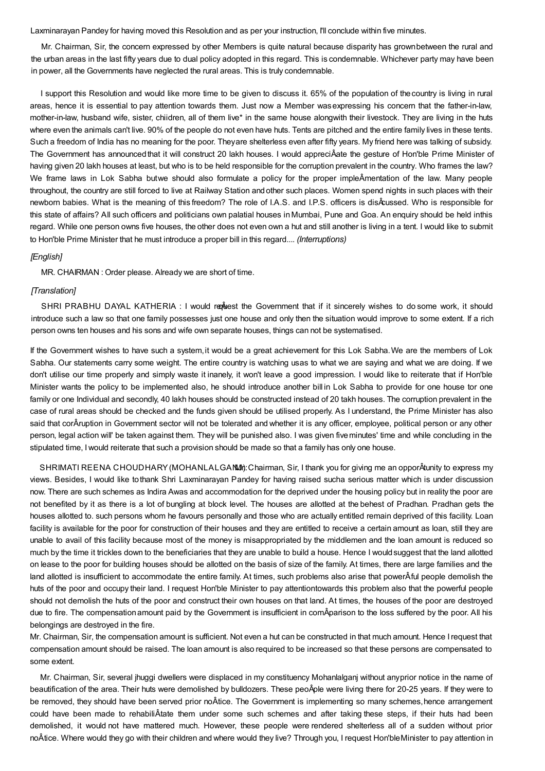Laxminarayan Pandey for having moved this Resolution and as per your instruction, I'll conclude within five minutes.

Mr. Chairman, Sir, the concern expressed by other Members is quite natural because disparity has grownbetween the rural and the urban areas in the last fifty years due to dual policy adopted in this regard. This is condemnable. Whichever party may have been in power, all the Governments have neglected the rural areas. This is truly condemnable.

I support this Resolution and would like more time to be given to discuss it. 65% of the population of thecountry is living in rural areas, hence it is essential to pay attention towards them. Just now a Member wasexpressing his concern that the father-in-law, mother-in-law, husband wife, sister, chiidren, all of them live\* in the same house alongwith their livestock. They are living in the huts where even the animals can't live. 90% of the people do not even have huts. Tents are pitched and the entire family lives in these tents. Such a freedom of India has no meaning for the poor. Theyare shelterless even after fifty years. My friend here was talking of subsidy. The Government has announced that it will construct 20 lakh houses. I would appreciÂate the gesture of Hon'ble Prime Minister of having given 20 lakh houses at least, but who is to be held responsible for the corruption prevalent in the country. Who frames the law? We frame laws in Lok Sabha butwe should also formulate a policy for the proper impleÂmentation of the law. Many people throughout, the country are still forced to live at Railway Station andother such places. Women spend nights in such places with their newborn babies. What is the meaning of this freedom? The role of I.A.S. and I.P.S. officers is disÂcussed. Who is responsible for this state of affairs? All such officers and politicians own palatial houses inMumbai, Pune and Goa. An enquiry should be held inthis regard. While one person owns five houses, the other does not even own a hut and still another is living in a tent. I would like to submit to Hon'ble Prime Minister that he must introduce a proper bill in this regard.... *(Interruptions)*

### *[English]*

MR. CHAIRMAN : Order please. Already we are short of time.

## *[Translation]*

SHRI PRABHU DAYAL KATHERIA : I would request the Government that if it sincerely wishes to do some work, it should introduce such a law so that one family possesses just one house and only then the situation would improve to some extent. If a rich person owns ten houses and his sons and wife own separate houses, things can not be systematised.

If the Government wishes to have such a system, it would be a great achievement for this Lok Sabha. We are the members of Lok Sabha. Our statements carry some weight. The entire country is watching usas to what we are saying and what we are doing. If we don't utilise our time properly and simply waste it inanely, it won't leave a good impression. I would like to reiterate that if Hon'ble Minister wants the policy to be implemented also, he should introduce another bill in Lok Sabha to provide for one house tor one family or one Individual and secondly, 40 lakh houses should be constructed instead of 20 takh houses. The corruption prevalent in the case of rural areas should be checked and the funds given should be utilised properly. As I understand, the Prime Minister has also said that corÂruption in Government sector will not be tolerated and whether it is any officer, employee, political person or any other person, legal action will' be taken against them. They will be punished also. I was given fiveminutes' time and while concluding in the stipulated time, Iwould reiterate that such a provision should be made so that a family has only one house.

SHRIMATI REENA CHOUDHARY (MOHANLALGANM): Chairman, Sir, I thank you for giving me an opporÂtunity to express my views. Besides, I would like tothank Shri Laxminarayan Pandey for having raised sucha serious matter which is under discussion now. There are such schemes as Indira Awas and accommodation for the deprived under the housing policy but in reality the poor are not benefited by it as there is a lot of bungling at block level. The houses are allotted at the behest of Pradhan. Pradhan gets the houses allotted to. such persons whom he favours personally and those who are actually entitled remain deprived of this facility. Loan facility is available for the poor for construction of their houses and they are entitled to receive a certain amount as loan, still they are unable to avail of this facility because most of the money is misappropriated by the middlemen and the loan amount is reduced so much by the time it trickles down to the beneficiaries that they are unable to build a house. Hence I would suggest that the land allotted on lease to the poor for building houses should be allotted on the basis of size of the family. At times, there are large families and the land allotted is insufficient to accommodate the entire family. At times, such problems also arise that powerÂful people demolish the huts of the poor and occupy their land. I request Hon'ble Minister to pay attentiontowards this problem also that the powerful people should not demolish the huts of the poor and construct their own houses on that land. At times, the houses of the poor are destroyed due to fire. The compensationamount paid by the Government is insufficient in comÂparison to the loss suffered by the poor. All his belongings are destroyed in the fire.

Mr. Chairman, Sir, the compensation amount is sufficient. Not even a hut can be constructed in that much amount. Hence Irequest that compensation amount should be raised. The loan amount is also required to be increased so that these persons are compensated to some extent.

Mr. Chairman, Sir, several jhuggi dwellers were displaced in my constituency Mohanlalganj without anyprior notice in the name of beautification of the area. Their huts were demolished by bulldozers. These peoÂple were living there for 20-25 years. If they were to be removed, they should have been served prior noÂtice. The Government is implementing so many schemes, hence arrangement could have been made to rehabiliÂtate them under some such schemes and after taking these steps, if their huts had been demolished, it would not have mattered much. However, these people were rendered shelterless all of a sudden without prior noÂtice. Where would they go with their children and where would they live? Through you, I request Hon'bleMinister to pay attention in